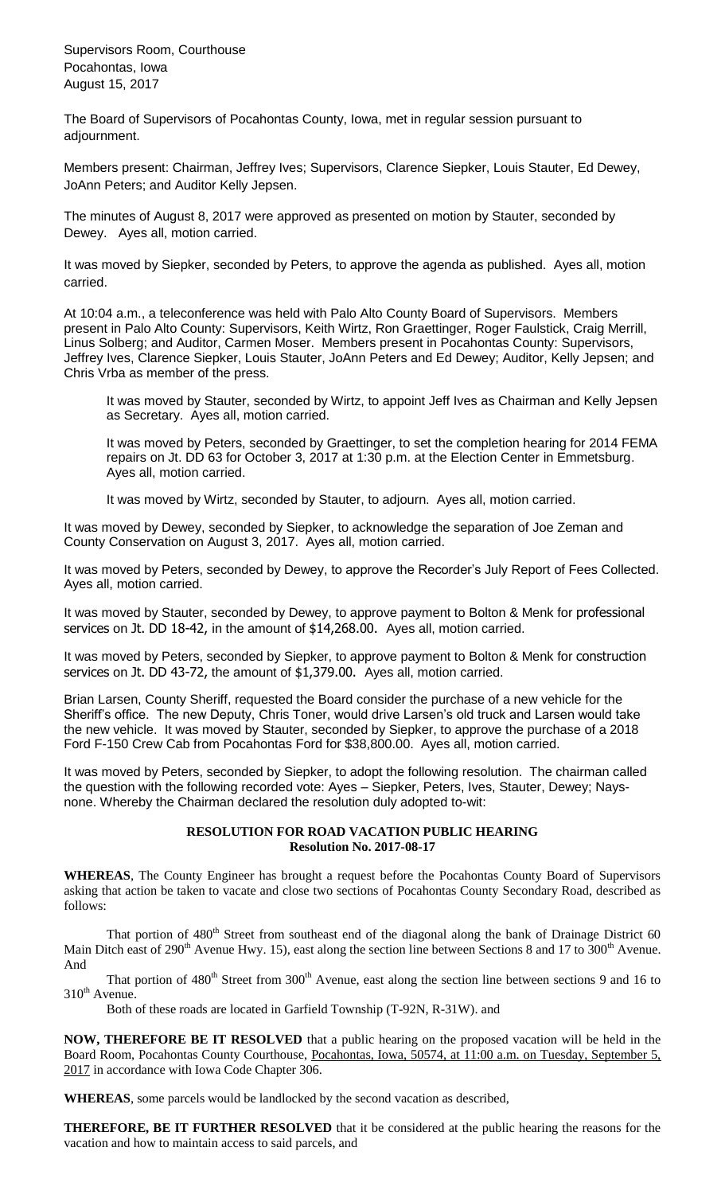Supervisors Room, Courthouse Pocahontas, Iowa August 15, 2017

The Board of Supervisors of Pocahontas County, Iowa, met in regular session pursuant to adjournment.

Members present: Chairman, Jeffrey Ives; Supervisors, Clarence Siepker, Louis Stauter, Ed Dewey, JoAnn Peters; and Auditor Kelly Jepsen.

The minutes of August 8, 2017 were approved as presented on motion by Stauter, seconded by Dewey. Ayes all, motion carried.

It was moved by Siepker, seconded by Peters, to approve the agenda as published. Ayes all, motion carried.

At 10:04 a.m., a teleconference was held with Palo Alto County Board of Supervisors. Members present in Palo Alto County: Supervisors, Keith Wirtz, Ron Graettinger, Roger Faulstick, Craig Merrill, Linus Solberg; and Auditor, Carmen Moser. Members present in Pocahontas County: Supervisors, Jeffrey Ives, Clarence Siepker, Louis Stauter, JoAnn Peters and Ed Dewey; Auditor, Kelly Jepsen; and Chris Vrba as member of the press.

It was moved by Stauter, seconded by Wirtz, to appoint Jeff Ives as Chairman and Kelly Jepsen as Secretary. Ayes all, motion carried.

It was moved by Peters, seconded by Graettinger, to set the completion hearing for 2014 FEMA repairs on Jt. DD 63 for October 3, 2017 at 1:30 p.m. at the Election Center in Emmetsburg. Ayes all, motion carried.

It was moved by Wirtz, seconded by Stauter, to adjourn. Ayes all, motion carried.

It was moved by Dewey, seconded by Siepker, to acknowledge the separation of Joe Zeman and County Conservation on August 3, 2017. Ayes all, motion carried.

It was moved by Peters, seconded by Dewey, to approve the Recorder's July Report of Fees Collected. Ayes all, motion carried.

It was moved by Stauter, seconded by Dewey, to approve payment to Bolton & Menk for professional services on Jt. DD 18-42, in the amount of \$14,268.00. Ayes all, motion carried.

It was moved by Peters, seconded by Siepker, to approve payment to Bolton & Menk for construction services on Jt. DD 43-72, the amount of \$1,379.00. Ayes all, motion carried.

Brian Larsen, County Sheriff, requested the Board consider the purchase of a new vehicle for the Sheriff's office. The new Deputy, Chris Toner, would drive Larsen's old truck and Larsen would take the new vehicle. It was moved by Stauter, seconded by Siepker, to approve the purchase of a 2018 Ford F-150 Crew Cab from Pocahontas Ford for \$38,800.00. Ayes all, motion carried.

It was moved by Peters, seconded by Siepker, to adopt the following resolution. The chairman called the question with the following recorded vote: Ayes – Siepker, Peters, Ives, Stauter, Dewey; Naysnone. Whereby the Chairman declared the resolution duly adopted to-wit:

### **RESOLUTION FOR ROAD VACATION PUBLIC HEARING Resolution No. 2017-08-17**

**WHEREAS**, The County Engineer has brought a request before the Pocahontas County Board of Supervisors asking that action be taken to vacate and close two sections of Pocahontas County Secondary Road, described as follows:

That portion of  $480<sup>th</sup>$  Street from southeast end of the diagonal along the bank of Drainage District 60 Main Ditch east of 290<sup>th</sup> Avenue Hwy. 15), east along the section line between Sections 8 and 17 to 300<sup>th</sup> Avenue. And

That portion of  $480<sup>th</sup>$  Street from 300<sup>th</sup> Avenue, east along the section line between sections 9 and 16 to  $310<sup>th</sup>$  Avenue.

Both of these roads are located in Garfield Township (T-92N, R-31W). and

**NOW, THEREFORE BE IT RESOLVED** that a public hearing on the proposed vacation will be held in the Board Room, Pocahontas County Courthouse, Pocahontas, Iowa, 50574, at 11:00 a.m. on Tuesday, September 5, 2017 in accordance with Iowa Code Chapter 306.

**WHEREAS**, some parcels would be landlocked by the second vacation as described,

**THEREFORE, BE IT FURTHER RESOLVED** that it be considered at the public hearing the reasons for the vacation and how to maintain access to said parcels, and